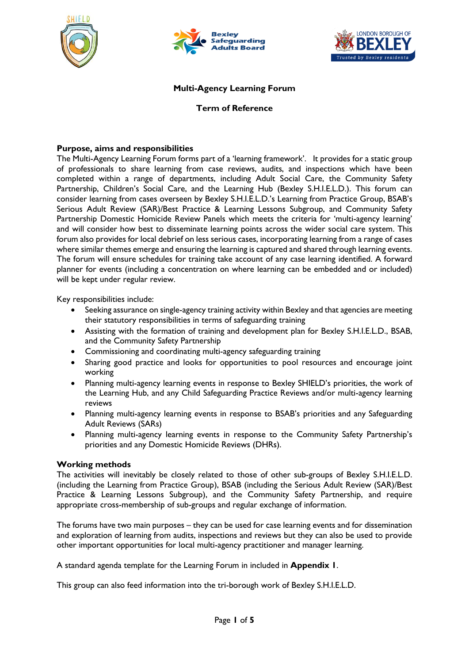





#### **Multi-Agency Learning Forum**

#### **Term of Reference**

#### **Purpose, aims and responsibilities**

The Multi-Agency Learning Forum forms part of a 'learning framework'. It provides for a static group of professionals to share learning from case reviews, audits, and inspections which have been completed within a range of departments, including Adult Social Care, the Community Safety Partnership, Children's Social Care, and the Learning Hub (Bexley S.H.I.E.L.D.). This forum can consider learning from cases overseen by Bexley S.H.I.E.L.D.'s Learning from Practice Group, BSAB's Serious Adult Review (SAR)/Best Practice & Learning Lessons Subgroup, and Community Safety Partnership Domestic Homicide Review Panels which meets the criteria for 'multi-agency learning' and will consider how best to disseminate learning points across the wider social care system. This forum also provides for local debrief on less serious cases, incorporating learning from a range of cases where similar themes emerge and ensuring the learning is captured and shared through learning events. The forum will ensure schedules for training take account of any case learning identified. A forward planner for events (including a concentration on where learning can be embedded and or included) will be kept under regular review.

Key responsibilities include:

- Seeking assurance on single-agency training activity within Bexley and that agencies are meeting their statutory responsibilities in terms of safeguarding training
- Assisting with the formation of training and development plan for Bexley S.H.I.E.L.D., BSAB, and the Community Safety Partnership
- Commissioning and coordinating multi-agency safeguarding training
- Sharing good practice and looks for opportunities to pool resources and encourage joint working
- Planning multi-agency learning events in response to Bexley SHIELD's priorities, the work of the Learning Hub, and any Child Safeguarding Practice Reviews and/or multi-agency learning reviews
- Planning multi-agency learning events in response to BSAB's priorities and any Safeguarding Adult Reviews (SARs)
- Planning multi-agency learning events in response to the Community Safety Partnership's priorities and any Domestic Homicide Reviews (DHRs).

#### **Working methods**

The activities will inevitably be closely related to those of other sub-groups of Bexley S.H.I.E.L.D. (including the Learning from Practice Group), BSAB (including the Serious Adult Review (SAR)/Best Practice & Learning Lessons Subgroup), and the Community Safety Partnership, and require appropriate cross-membership of sub-groups and regular exchange of information.

The forums have two main purposes – they can be used for case learning events and for dissemination and exploration of learning from audits, inspections and reviews but they can also be used to provide other important opportunities for local multi-agency practitioner and manager learning.

A standard agenda template for the Learning Forum in included in **Appendix 1**.

This group can also feed information into the tri-borough work of Bexley S.H.I.E.L.D.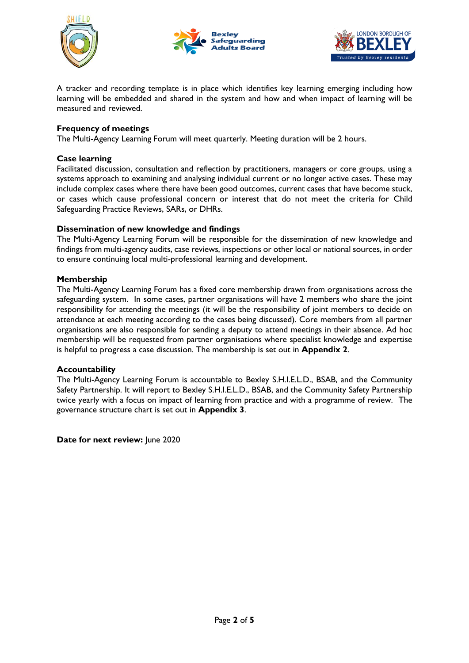





A tracker and recording template is in place which identifies key learning emerging including how learning will be embedded and shared in the system and how and when impact of learning will be measured and reviewed.

#### **Frequency of meetings**

The Multi-Agency Learning Forum will meet quarterly. Meeting duration will be 2 hours.

#### **Case learning**

Facilitated discussion, consultation and reflection by practitioners, managers or core groups, using a systems approach to examining and analysing individual current or no longer active cases. These may include complex cases where there have been good outcomes, current cases that have become stuck, or cases which cause professional concern or interest that do not meet the criteria for Child Safeguarding Practice Reviews, SARs, or DHRs.

#### **Dissemination of new knowledge and findings**

The Multi-Agency Learning Forum will be responsible for the dissemination of new knowledge and findings from multi-agency audits, case reviews, inspections or other local or national sources, in order to ensure continuing local multi-professional learning and development.

#### **Membership**

The Multi-Agency Learning Forum has a fixed core membership drawn from organisations across the safeguarding system. In some cases, partner organisations will have 2 members who share the joint responsibility for attending the meetings (it will be the responsibility of joint members to decide on attendance at each meeting according to the cases being discussed). Core members from all partner organisations are also responsible for sending a deputy to attend meetings in their absence. Ad hoc membership will be requested from partner organisations where specialist knowledge and expertise is helpful to progress a case discussion. The membership is set out in **Appendix 2**.

#### **Accountability**

The Multi-Agency Learning Forum is accountable to Bexley S.H.I.E.L.D., BSAB, and the Community Safety Partnership. It will report to Bexley S.H.I.E.L.D., BSAB, and the Community Safety Partnership twice yearly with a focus on impact of learning from practice and with a programme of review. The governance structure chart is set out in **Appendix 3**.

**Date for next review:** June 2020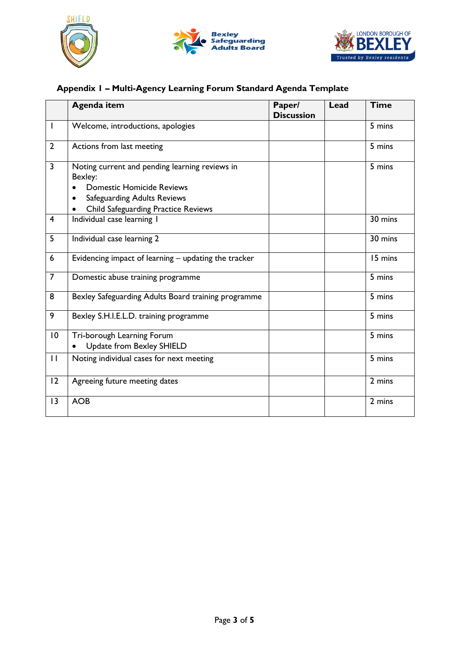





# **Appendix 1 – Multi-Agency Learning Forum Standard Agenda Template**

|                | <b>Agenda item</b>                                                                                                                                                                             | Paper/<br><b>Discussion</b> | Lead | <b>Time</b> |
|----------------|------------------------------------------------------------------------------------------------------------------------------------------------------------------------------------------------|-----------------------------|------|-------------|
| $\mathbf{I}$   | Welcome, introductions, apologies                                                                                                                                                              |                             |      | 5 mins      |
| $\overline{2}$ | Actions from last meeting                                                                                                                                                                      |                             |      | 5 mins      |
| $\overline{3}$ | Noting current and pending learning reviews in<br>Bexley:<br><b>Domestic Homicide Reviews</b><br><b>Safeguarding Adults Reviews</b><br>$\bullet$<br><b>Child Safeguarding Practice Reviews</b> |                             |      | 5 mins      |
| $\overline{4}$ | Individual case learning I                                                                                                                                                                     |                             |      | 30 mins     |
| 5              | Individual case learning 2                                                                                                                                                                     |                             |      | 30 mins     |
| 6              | Evidencing impact of learning - updating the tracker                                                                                                                                           |                             |      | 15 mins     |
| $\overline{7}$ | Domestic abuse training programme                                                                                                                                                              |                             |      | 5 mins      |
| 8              | Bexley Safeguarding Adults Board training programme                                                                                                                                            |                             |      | 5 mins      |
| 9              | Bexley S.H.I.E.L.D. training programme                                                                                                                                                         |                             |      | 5 mins      |
| 10             | Tri-borough Learning Forum<br>Update from Bexley SHIELD                                                                                                                                        |                             |      | 5 mins      |
| $\mathbf{H}$   | Noting individual cases for next meeting                                                                                                                                                       |                             |      | 5 mins      |
| 12             | Agreeing future meeting dates                                                                                                                                                                  |                             |      | 2 mins      |
| 13             | <b>AOB</b>                                                                                                                                                                                     |                             |      | 2 mins      |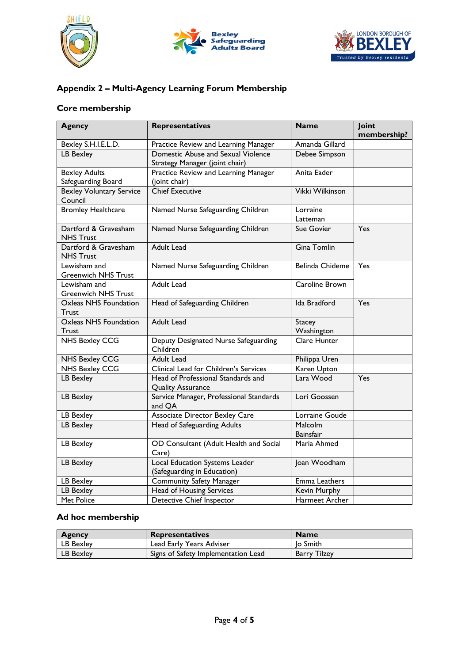





## **Appendix 2 – Multi-Agency Learning Forum Membership**

### **Core membership**

| <b>Agency</b>                              | Representatives                         | <b>Name</b>           | Joint       |
|--------------------------------------------|-----------------------------------------|-----------------------|-------------|
|                                            |                                         |                       | membership? |
| Bexley S.H.I.E.L.D.                        | Practice Review and Learning Manager    | Amanda Gillard        |             |
| <b>LB Bexley</b>                           | Domestic Abuse and Sexual Violence      | Debee Simpson         |             |
|                                            | Strategy Manager (joint chair)          |                       |             |
| <b>Bexley Adults</b>                       | Practice Review and Learning Manager    | Anita Eader           |             |
| Safeguarding Board                         | (joint chair)                           |                       |             |
| <b>Bexley Voluntary Service</b><br>Council | <b>Chief Executive</b>                  | Vikki Wilkinson       |             |
| <b>Bromley Healthcare</b>                  | Named Nurse Safeguarding Children       | Lorraine              |             |
|                                            |                                         | Latteman              |             |
| Dartford & Gravesham                       | Named Nurse Safeguarding Children       | Sue Govier            | Yes         |
| <b>NHS Trust</b>                           |                                         |                       |             |
| Dartford & Gravesham                       | <b>Adult Lead</b>                       | Gina Tomlin           |             |
| <b>NHS Trust</b>                           |                                         |                       |             |
| Lewisham and                               | Named Nurse Safeguarding Children       | Belinda Chideme       | Yes         |
| <b>Greenwich NHS Trust</b>                 |                                         |                       |             |
| Lewisham and                               | Adult Lead                              | Caroline Brown        |             |
| <b>Greenwich NHS Trust</b>                 |                                         |                       |             |
| Oxleas NHS Foundation                      | Head of Safeguarding Children           | Ida Bradford          | Yes         |
| Trust                                      |                                         |                       |             |
| <b>Oxleas NHS Foundation</b>               | <b>Adult Lead</b>                       | <b>Stacey</b>         |             |
| Trust                                      |                                         | Washington            |             |
| <b>NHS Bexley CCG</b>                      | Deputy Designated Nurse Safeguarding    | Clare Hunter          |             |
|                                            | Children                                |                       |             |
| <b>NHS Bexley CCG</b>                      | Adult Lead                              | Philippa Uren         |             |
| <b>NHS Bexley CCG</b>                      | Clinical Lead for Children's Services   | Karen Upton           |             |
| <b>LB Bexley</b>                           | Head of Professional Standards and      | Lara Wood             | Yes         |
|                                            | <b>Quality Assurance</b>                |                       |             |
| LB Bexley                                  | Service Manager, Professional Standards | Lori Goossen          |             |
|                                            | and QA                                  |                       |             |
| LB Bexley                                  | <b>Associate Director Bexley Care</b>   | Lorraine Goude        |             |
| LB Bexley                                  | Head of Safeguarding Adults             | Malcolm               |             |
|                                            |                                         | <b>Bainsfair</b>      |             |
| LB Bexley                                  | OD Consultant (Adult Health and Social  | Maria Ahmed           |             |
|                                            | Care)                                   |                       |             |
| LB Bexley                                  | Local Education Systems Leader          | Joan Woodham          |             |
|                                            | (Safeguarding in Education)             |                       |             |
| LB Bexley                                  | Community Safety Manager                | Emma Leathers         |             |
| LB Bexley                                  | Head of Housing Services                | Kevin Murphy          |             |
| Met Police                                 | <b>Detective Chief Inspector</b>        | <b>Harmeet Archer</b> |             |

## **Ad hoc membership**

| <b>Agency</b> | <b>Representatives</b>              | <b>Name</b>  |
|---------------|-------------------------------------|--------------|
| LB Bexley     | Lead Early Years Adviser            | lo Smith     |
| LB Bexley     | Signs of Safety Implementation Lead | Barry Tilzey |